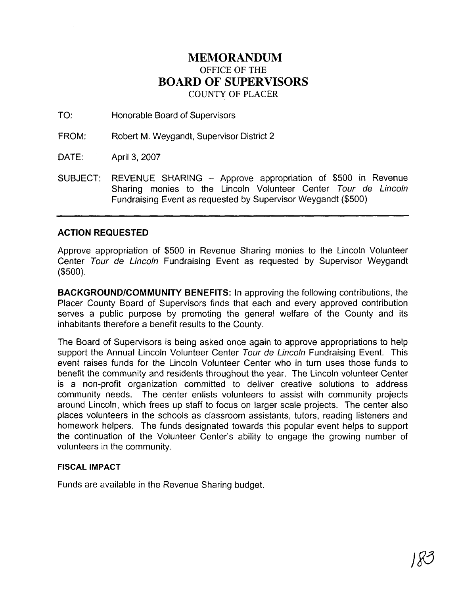## **MEMORANDUM**  OFFICE OF THE **BOARD OF SUPERVISORS**  COUNTY OF PLACER

TO: Honorable Board of Supervisors

FROM: Robert M. Weygandt, Supervisor District 2

DATE: April 3, 2007

SUBJECT: REVENUE SHARING - Approve appropriation of \$500 in Revenue Sharing monies to the Lincoln Volunteer Center Tour de Lincoln Fundraising Event as requested by Supervisor Weygandt (\$500)

## **ACTION REQUESTED**

Approve appropriation of \$500 in Revenue Sharing monies to the Lincoln Volunteer Center Tour de Lincoln Fundraising Event as requested by Supervisor Weygandt (\$500).

**BACKGROUNDICOMMUNITY BENEFITS:** In approving the following contributions, the Placer County Board of Supervisors finds that each and every approved contribution serves a public purpose by promoting the general welfare of the County and its inhabitants therefore a benefit results to the County.

The Board of Supervisors is being asked once again to approve appropriations to help support the Annual Lincoln Volunteer Center Tour de Lincoln Fundraising Event. This event raises funds for the Lincoln Volunteer Center who in turn uses those funds to benefit the community and residents throughout the year. The Lincoln volunteer Center is a non-profit organization committed to deliver creative solutions to address community needs. The center enlists volunteers to assist with community projects around Lincoln, which frees up staff to focus on larger scale projects. The center also places volunteers in the schools as classroom assistants, tutors, reading listeners and homework helpers. The funds designated towards this popular event helps to support the continuation of the Volunteer Center's ability to engage the growing number of volunteers in the community.

## **FISCAL IMPACT**

Funds are available in the Revenue Sharing budget.